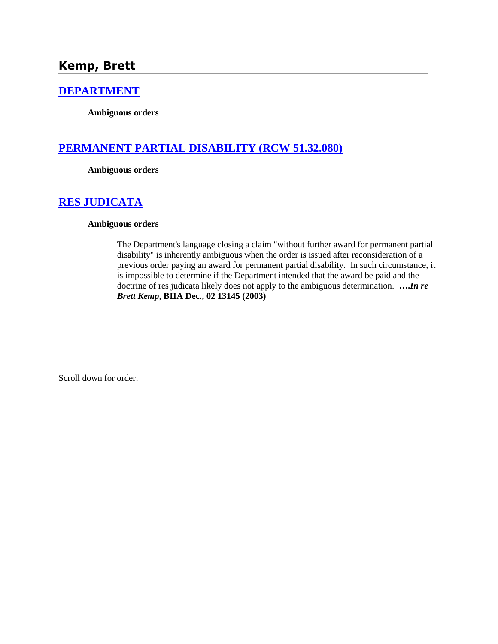#### **[DEPARTMENT](http://www.biia.wa.gov/SDSubjectIndex.html#DEPARTMENT)**

**Ambiguous orders**

# **[PERMANENT PARTIAL DISABILITY \(RCW 51.32.080\)](http://www.biia.wa.gov/SDSubjectIndex.html#PERMANENT_PARTIAL_DISABILITY)**

**Ambiguous orders**

## **[RES JUDICATA](http://www.biia.wa.gov/SDSubjectIndex.html#RES_JUDICATA)**

#### **Ambiguous orders**

The Department's language closing a claim "without further award for permanent partial disability" is inherently ambiguous when the order is issued after reconsideration of a previous order paying an award for permanent partial disability. In such circumstance, it is impossible to determine if the Department intended that the award be paid and the doctrine of res judicata likely does not apply to the ambiguous determination. **….***In re Brett Kemp***, BIIA Dec., 02 13145 (2003)**

Scroll down for order.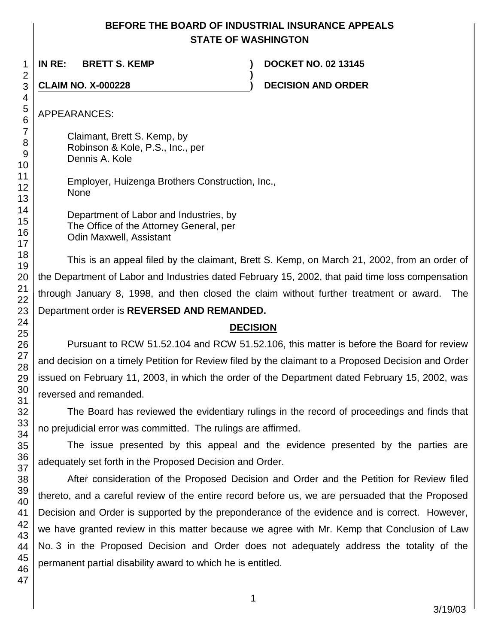#### **BEFORE THE BOARD OF INDUSTRIAL INSURANCE APPEALS STATE OF WASHINGTON**

**)**

**IN RE: BRETT S. KEMP ) DOCKET NO. 02 13145**

**CLAIM NO. X-000228 ) DECISION AND ORDER**

APPEARANCES:

Claimant, Brett S. Kemp, by Robinson & Kole, P.S., Inc., per Dennis A. Kole

Employer, Huizenga Brothers Construction, Inc., None

Department of Labor and Industries, by The Office of the Attorney General, per Odin Maxwell, Assistant

This is an appeal filed by the claimant, Brett S. Kemp, on March 21, 2002, from an order of the Department of Labor and Industries dated February 15, 2002, that paid time loss compensation through January 8, 1998, and then closed the claim without further treatment or award. The Department order is **REVERSED AND REMANDED.**

## **DECISION**

Pursuant to RCW 51.52.104 and RCW 51.52.106, this matter is before the Board for review and decision on a timely Petition for Review filed by the claimant to a Proposed Decision and Order issued on February 11, 2003, in which the order of the Department dated February 15, 2002, was reversed and remanded.

The Board has reviewed the evidentiary rulings in the record of proceedings and finds that no prejudicial error was committed. The rulings are affirmed.

The issue presented by this appeal and the evidence presented by the parties are adequately set forth in the Proposed Decision and Order.

After consideration of the Proposed Decision and Order and the Petition for Review filed thereto, and a careful review of the entire record before us, we are persuaded that the Proposed Decision and Order is supported by the preponderance of the evidence and is correct. However, we have granted review in this matter because we agree with Mr. Kemp that Conclusion of Law No. 3 in the Proposed Decision and Order does not adequately address the totality of the permanent partial disability award to which he is entitled.

1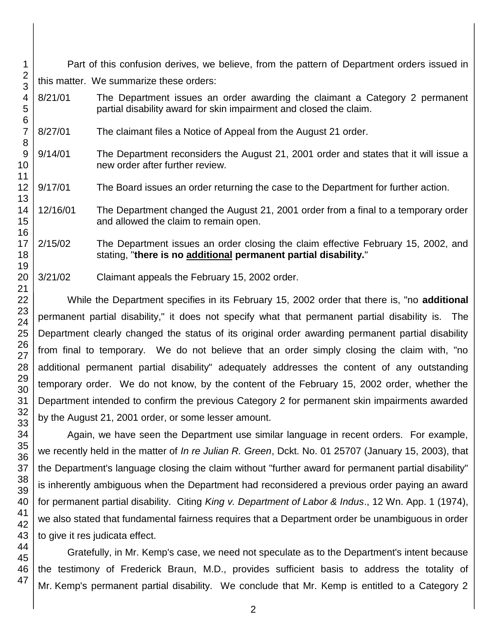Part of this confusion derives, we believe, from the pattern of Department orders issued in this matter. We summarize these orders:

- 8/21/01 The Department issues an order awarding the claimant a Category 2 permanent partial disability award for skin impairment and closed the claim.
- 8/27/01 The claimant files a Notice of Appeal from the August 21 order.
- 9/14/01 The Department reconsiders the August 21, 2001 order and states that it will issue a new order after further review.
- 9/17/01 The Board issues an order returning the case to the Department for further action.
- 12/16/01 The Department changed the August 21, 2001 order from a final to a temporary order and allowed the claim to remain open.

2/15/02 The Department issues an order closing the claim effective February 15, 2002, and stating, "**there is no additional permanent partial disability.**"

3/21/02 Claimant appeals the February 15, 2002 order.

While the Department specifies in its February 15, 2002 order that there is, "no **additional**  permanent partial disability," it does not specify what that permanent partial disability is. The Department clearly changed the status of its original order awarding permanent partial disability from final to temporary. We do not believe that an order simply closing the claim with, "no additional permanent partial disability" adequately addresses the content of any outstanding temporary order. We do not know, by the content of the February 15, 2002 order, whether the Department intended to confirm the previous Category 2 for permanent skin impairments awarded by the August 21, 2001 order, or some lesser amount.

Again, we have seen the Department use similar language in recent orders. For example, we recently held in the matter of *In re Julian R. Green*, Dckt. No. 01 25707 (January 15, 2003), that the Department's language closing the claim without "further award for permanent partial disability" is inherently ambiguous when the Department had reconsidered a previous order paying an award for permanent partial disability. Citing *King v. Department of Labor & Indus*., 12 Wn. App. 1 (1974), we also stated that fundamental fairness requires that a Department order be unambiguous in order to give it res judicata effect.

Gratefully, in Mr. Kemp's case, we need not speculate as to the Department's intent because the testimony of Frederick Braun, M.D., provides sufficient basis to address the totality of Mr. Kemp's permanent partial disability. We conclude that Mr. Kemp is entitled to a Category 2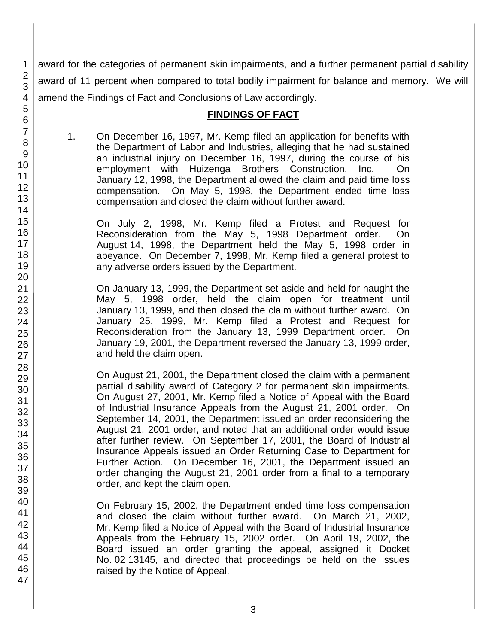award for the categories of permanent skin impairments, and a further permanent partial disability award of 11 percent when compared to total bodily impairment for balance and memory. We will amend the Findings of Fact and Conclusions of Law accordingly.

#### **FINDINGS OF FACT**

1. On December 16, 1997, Mr. Kemp filed an application for benefits with the Department of Labor and Industries, alleging that he had sustained an industrial injury on December 16, 1997, during the course of his employment with Huizenga Brothers Construction, Inc. On January 12, 1998, the Department allowed the claim and paid time loss compensation. On May 5, 1998, the Department ended time loss compensation and closed the claim without further award.

On July 2, 1998, Mr. Kemp filed a Protest and Request for Reconsideration from the May 5, 1998 Department order. On August 14, 1998, the Department held the May 5, 1998 order in abeyance. On December 7, 1998, Mr. Kemp filed a general protest to any adverse orders issued by the Department.

On January 13, 1999, the Department set aside and held for naught the May 5, 1998 order, held the claim open for treatment until January 13, 1999, and then closed the claim without further award. On January 25, 1999, Mr. Kemp filed a Protest and Request for Reconsideration from the January 13, 1999 Department order. On January 19, 2001, the Department reversed the January 13, 1999 order, and held the claim open.

On August 21, 2001, the Department closed the claim with a permanent partial disability award of Category 2 for permanent skin impairments. On August 27, 2001, Mr. Kemp filed a Notice of Appeal with the Board of Industrial Insurance Appeals from the August 21, 2001 order. On September 14, 2001, the Department issued an order reconsidering the August 21, 2001 order, and noted that an additional order would issue after further review. On September 17, 2001, the Board of Industrial Insurance Appeals issued an Order Returning Case to Department for Further Action. On December 16, 2001, the Department issued an order changing the August 21, 2001 order from a final to a temporary order, and kept the claim open.

On February 15, 2002, the Department ended time loss compensation and closed the claim without further award. On March 21, 2002, Mr. Kemp filed a Notice of Appeal with the Board of Industrial Insurance Appeals from the February 15, 2002 order. On April 19, 2002, the Board issued an order granting the appeal, assigned it Docket No. 02 13145, and directed that proceedings be held on the issues raised by the Notice of Appeal.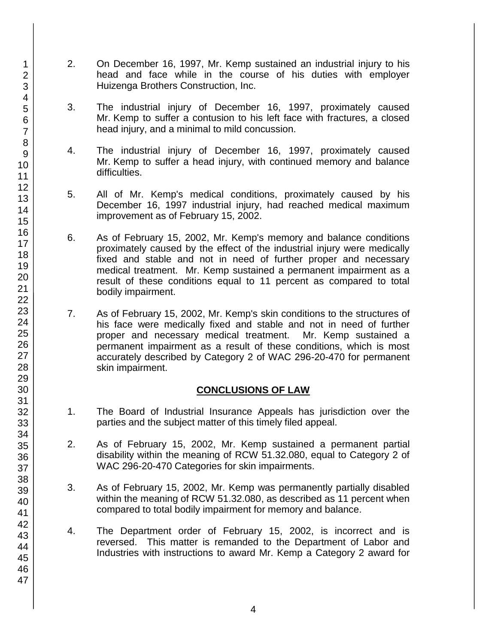- 2. On December 16, 1997, Mr. Kemp sustained an industrial injury to his head and face while in the course of his duties with employer Huizenga Brothers Construction, Inc.
- 3. The industrial injury of December 16, 1997, proximately caused Mr. Kemp to suffer a contusion to his left face with fractures, a closed head injury, and a minimal to mild concussion.
- 4. The industrial injury of December 16, 1997, proximately caused Mr. Kemp to suffer a head injury, with continued memory and balance difficulties.
- 5. All of Mr. Kemp's medical conditions, proximately caused by his December 16, 1997 industrial injury, had reached medical maximum improvement as of February 15, 2002.
- 6. As of February 15, 2002, Mr. Kemp's memory and balance conditions proximately caused by the effect of the industrial injury were medically fixed and stable and not in need of further proper and necessary medical treatment. Mr. Kemp sustained a permanent impairment as a result of these conditions equal to 11 percent as compared to total bodily impairment.
- 7. As of February 15, 2002, Mr. Kemp's skin conditions to the structures of his face were medically fixed and stable and not in need of further proper and necessary medical treatment. Mr. Kemp sustained a permanent impairment as a result of these conditions, which is most accurately described by Category 2 of WAC 296-20-470 for permanent skin impairment.

#### **CONCLUSIONS OF LAW**

- 1. The Board of Industrial Insurance Appeals has jurisdiction over the parties and the subject matter of this timely filed appeal.
- 2. As of February 15, 2002, Mr. Kemp sustained a permanent partial disability within the meaning of RCW 51.32.080, equal to Category 2 of WAC 296-20-470 Categories for skin impairments.
- 3. As of February 15, 2002, Mr. Kemp was permanently partially disabled within the meaning of RCW 51.32.080, as described as 11 percent when compared to total bodily impairment for memory and balance.
- 4. The Department order of February 15, 2002, is incorrect and is reversed. This matter is remanded to the Department of Labor and Industries with instructions to award Mr. Kemp a Category 2 award for